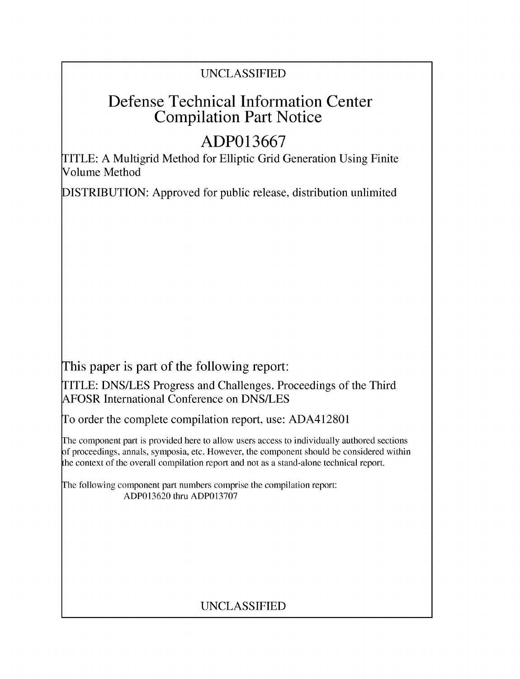### UNCLASSIFIED

# Defense Technical Information Center Compilation Part Notice

# **ADP013667**

TITLE: A Multigrid Method for Elliptic Grid Generation Using Finite Volume Method

DISTRIBUTION: Approved for public release, distribution unlimited

This paper is part of the following report:

TITLE: DNS/LES Progress and Challenges. Proceedings of the Third AFOSR International Conference on DNS/LES

To order the complete compilation report, use: ADA412801

The component part is provided here to allow users access to individually authored sections f proceedings, annals, symposia, etc. However, the component should be considered within the context of the overall compilation report and not as a stand-alone technical report.

The following component part numbers comprise the compilation report: ADP013620 thru ADP013707

## UNCLASSIFIED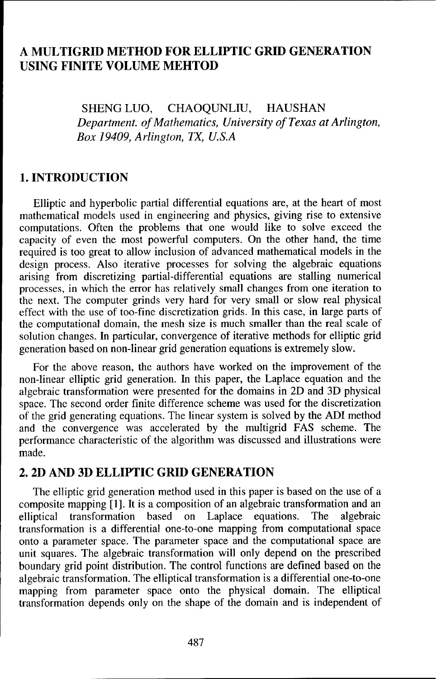### **A** MULTIGRID METHOD FOR ELLIPTIC GRID **GENERATION USING FINITE VOLUME** MEHTOD

SHENG LUO, CHAOQUNLIU, HAUSHAN *Department. of Mathematics, University of Texas at Arlington, Box 19409, Arlington, TX, U.S.A*

#### **1. INTRODUCTION**

Elliptic and hyperbolic partial differential equations are, at the heart of most mathematical models used in engineering and physics, giving rise to extensive computations. Often the problems that one would like to solve exceed the capacity of even the most powerful computers. On the other hand, the time required is too great to allow inclusion of advanced mathematical models in the design process. Also iterative processes for solving the algebraic equations arising from discretizing partial-differential equations are stalling numerical processes, in which the error has relatively small changes from one iteration to the next. The computer grinds very hard for very small or slow real physical effect with the use of too-fine discretization grids. In this case, in large parts of the computational domain, the mesh size is much smaller than the real scale of solution changes. In particular, convergence of iterative methods for elliptic grid generation based on non-linear grid generation equations is extremely slow.

For the above reason, the authors have worked on the improvement of the non-linear elliptic grid generation. In this paper, the Laplace equation and the algebraic transformation were presented for the domains in 2D and 3D physical space. The second order finite difference scheme was used for the discretization of the grid generating equations. The linear system is solved by the ADI method and the convergence was accelerated by the multigrid FAS scheme. The performance characteristic of the algorithm was discussed and illustrations were made.

#### 2. 2D AND **3D** ELLIPTIC GRID **GENERATION**

The elliptic grid generation method used in this paper is based on the use of a composite mapping [1]. It is a composition of an algebraic transformation and an elliptical transformation based on Laplace equations. The algebraic transformation is a differential one-to-one mapping from computational space onto a parameter space. The parameter space and the computational space are unit squares. The algebraic transformation will only depend on the prescribed boundary grid point distribution. The control functions are defined based on the algebraic transformation. The elliptical transformation is a differential one-to-one mapping from parameter space onto the physical domain. The elliptical transformation depends only on the shape of the domain and is independent of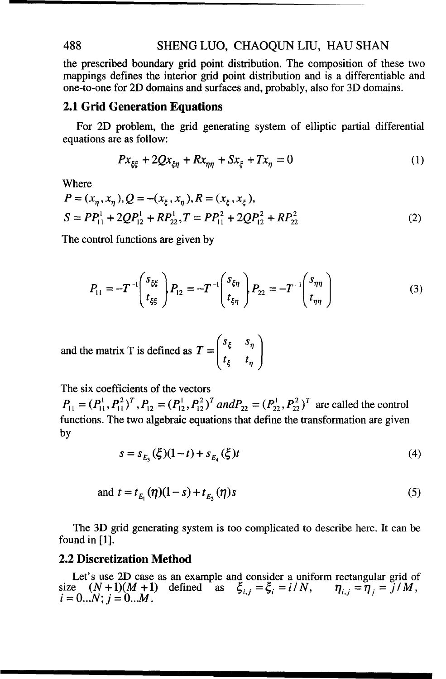#### 488 SHENG LUO, CHAOQUN LIU, HAU SHAN

the prescribed boundary grid point distribution. The composition of these two mappings defines the interior grid point distribution and is a differentiable and one-to-one for 2D domains and surfaces and, probably, also for 3D domains.

#### 2.1 Grid Generation Equations

For 2D problem, the grid generating system of elliptic partial differential equations are as follow:

$$
Px_{\xi\xi} + 2Qx_{\xi\eta} + Rx_{\eta\eta} + Sx_{\xi} + Tx_{\eta} = 0
$$
 (1)

Where

$$
P = (x_{\eta}, x_{\eta}), Q = -(x_{\xi}, x_{\eta}), R = (x_{\xi}, x_{\xi}),
$$
  
\n
$$
S = PP_{11}^{1} + 2QP_{12}^{1} + RP_{22}^{1}, T = PP_{11}^{2} + 2QP_{12}^{2} + RP_{22}^{2}
$$
\n(2)

The control functions are given by

$$
P_{11} = -T^{-1} \begin{pmatrix} s_{\xi\xi} \\ t_{\xi\xi} \end{pmatrix} P_{12} = -T^{-1} \begin{pmatrix} s_{\xi\eta} \\ t_{\xi\eta} \end{pmatrix} P_{22} = -T^{-1} \begin{pmatrix} s_{\eta\eta} \\ t_{\eta\eta} \end{pmatrix}
$$
(3)

and the matrix T is defined as  $T = \begin{bmatrix} s_{\xi} & s_{\eta} \\ t_{\xi} & t_{\eta} \end{bmatrix}$ 

The six coefficients of the vectors

 $P_{11} = (P_{11}^1, P_{11}^2)^T$ ,  $P_{12} = (P_{12}^1, P_{12}^2)^T$  and  $P_{22} = (P_{22}^1, P_{22}^2)^T$  are called the control functions. The two algebraic equations that define the transformation are given by

$$
s = s_{E_1}(\xi)(1-t) + s_{E_2}(\xi)t
$$
\n(4)

and 
$$
t = t_{E_1}(\eta)(1 - s) + t_{E_2}(\eta)s
$$
 (5)

The 3D grid generating system is too complicated to describe here. It can be found in [1].

#### 2.2 Discretization Method

Let's use 2D case as an example and consider a uniform rectangular grid of size  $(N+1)(M+1)$  defined as  $\zeta_{i,j} = \zeta_i = i/N$ ,  $\eta_{i,j} = \eta_i = j/M$ ,  $i = 0...N$ ;  $i = 0...M$ .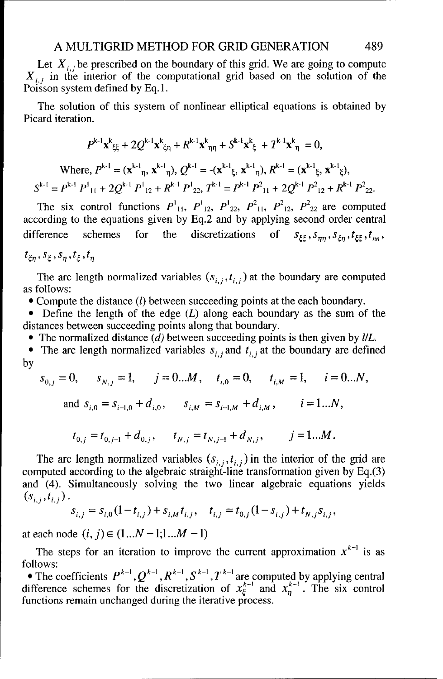Let  $X_{i,j}$  be prescribed on the boundary of this grid. We are going to compute  $X_{i,j}$  in the interior of the computational grid based on the solution of the Poisson system defined by Eq. 1.

The solution of this system of nonlinear elliptical equations is obtained by Picard iteration.

$$
P^{k-1}\mathbf{x}^{k}_{\xi\xi} + 2Q^{k-1}\mathbf{x}^{k}_{\xi\eta} + R^{k-1}\mathbf{x}^{k}_{\eta\eta} + S^{k-1}\mathbf{x}^{k}_{\xi} + T^{k-1}\mathbf{x}^{k}_{\eta} = 0,
$$
  
Where,  $P^{k-1} = (\mathbf{x}^{k-1}_{\eta}, \mathbf{x}^{k-1}_{\eta}), Q^{k-1} = -(\mathbf{x}^{k-1}_{\xi}, \mathbf{x}^{k-1}_{\eta}), R^{k-1} = (\mathbf{x}^{k-1}_{\xi}, \mathbf{x}^{k-1}_{\xi}),$   
 $S^{k-1} = P^{k-1}P^{1}_{11} + 2Q^{k-1}P^{1}_{12} + R^{k-1}P^{1}_{22}, T^{k-1} = P^{k-1}P^{2}_{11} + 2Q^{k-1}P^{2}_{12} + R^{k-1}P^{2}_{22}.$ 

The six control functions  $P_{11}^1$ ,  $P_{12}^1$ ,  $P_{22}^2$ ,  $P_{11}^2$ ,  $P_{12}^2$ ,  $P_{22}^2$  are computed according to the equations given by Eq.2 and by applying second order central difference schemes for the discretizations of  $s_{\xi\xi}$ ,  $s_{nn}$ ,  $s_{\xi n}$ ,  $t_{\xi\xi}$ ,  $t_{nn}$ ,

$$
t_{\xi\eta}, s_{\xi}, s_{\eta}, t_{\xi}, t_{\eta}
$$

The arc length normalized variables  $(s_{i,j}, t_{i,j})$  at the boundary are computed as follows:

• Compute the distance *(l)* between succeeding points at the each boundary.

• Define the length of the edge  $(L)$  along each boundary as the sum of the distances between succeeding points along that boundary.

 $\bullet$  The normalized distance (d) between succeeding points is then given by *IIL*.

• The arc length normalized variables  $s_{i,j}$  and  $t_{i,j}$  at the boundary are defined by

$$
s_{0,j} = 0, \t s_{N,j} = 1, \t j = 0...M, \t t_{i,0} = 0, \t t_{i,M} = 1, \t i = 0...N,
$$
  
and 
$$
s_{i,0} = s_{i-1,0} + d_{i,0}, \t s_{i,M} = s_{i-1,M} + d_{i,M}, \t i = 1...N,
$$

$$
t_{0,j} = t_{0,j-1} + d_{0,j}, \t t_{N,j} = t_{N,j-1} + d_{N,j}, \t j = 1...M.
$$

The arc length normalized variables  $(s_{i,j}, t_{i,j})$  in the interior of the grid are computed according to the algebraic straight-line transformation given by Eq.(3) and (4). Simultaneously solving the two linear algebraic equations yields  $(s_{i,j},t_{i,j})$ .

$$
s_{i,j} = s_{i,0} (1 - t_{i,j}) + s_{i,M} t_{i,j}, \quad t_{i,j} = t_{0,j} (1 - s_{i,j}) + t_{N,j} s_{i,j},
$$

at each node  $(i, j) \in (1...N - 1;1...M - 1)$ 

The steps for an iteration to improve the current approximation  $x^{k-1}$  is as follows:

• The coefficients  $P^{k-1}, Q^{k-1}, R^{k-1}, S^{k-1}, T^{k-1}$  are computed by applying central difference schemes for the discretization of  $x_{\varepsilon}^{k-1}$  and  $x_{n}^{k-1}$ . The six control functions remain unchanged during the iterative process.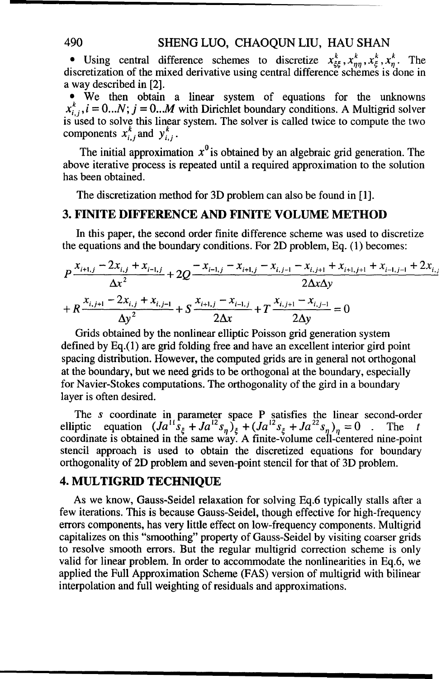#### 490 SHENG LUO, CHAOQUN LIU, HAU SHAN

• Using central difference schemes to discretize  $x_{\xi\xi}^k$ ,  $x_{nn}^k$ ,  $x_{\xi}^k$ ,  $x_n^k$ . The discretization of the mixed derivative using central difference schemes is done in a way described in [2].

• We then obtain a linear system of equations for the unknowns  $x_{i,j}^{k}$ ,  $i = 0...N$ ;  $j = 0...M$  with Dirichlet boundary conditions. A Multigrid solver is used to solve this linear system. The solver is called twice to compute the two components  $x_{i,j}^k$  and  $y_{i,j}^k$ .

The initial approximation  $x^0$  is obtained by an algebraic grid generation. The above iterative process is repeated until a required approximation to the solution has been obtained.

The discretization method for 3D problem can also be found in [1].

#### **3. FINITE DIFFERENCE AND** FINITE **VOLUME** METHOD

In this paper, the second order finite difference scheme was used to discretize the equations and the boundary conditions. For 2D problem, Eq. (1) becomes:

$$
P \frac{x_{i+1,j} - 2x_{i,j} + x_{i-1,j}}{\Delta x^2} + 2Q \frac{-x_{i-1,j} - x_{i+1,j} - x_{i,j-1} - x_{i,j+1} + x_{i+1,j+1} + x_{i-1,j-1} + 2x_{i,j}}{2\Delta x \Delta y}
$$
  
+ 
$$
R \frac{x_{i,j+1} - 2x_{i,j} + x_{i,j-1}}{\Delta y^2} + S \frac{x_{i+1,j} - x_{i-1,j}}{2\Delta x} + T \frac{x_{i,j+1} - x_{i,j-1}}{2\Delta y} = 0
$$

Grids obtained by the nonlinear elliptic Poisson grid generation system defined by Eq.(1) are grid folding free and have an excellent interior gird point spacing distribution. However, the computed grids are in general not orthogonal at the boundary, but we need grids to be orthogonal at the boundary, especially for Navier-Stokes computations. The orthogonality of the gird in a boundary layer is often desired.

The  $s$  coordinate in parameter space  $P$  satisfies the linear second-order elliptic equation  $(Ja^{11}S_{\xi} + Ja^{12}S_{n})_{\xi} + (Ja^{12}S_{\xi} + Ja^{22}S_{n})_{n} = 0$ . The t coordinate is obtained in the same way. A finite-volume cell-centered nine-poin stencil approach is used to obtain the discretized equations for boundary orthogonality of 2D problem and seven-point stencil for that of 3D problem.

#### 4. MULTIGRID **TECHNIQUE**

As we know, Gauss-Seidel relaxation for solving Eq.6 typically stalls after a few iterations. This is because Gauss-Seidel, though effective for high-frequency errors components, has very little effect on low-frequency components. Multigrid capitalizes on this "smoothing" property of Gauss-Seidel by visiting coarser grids to resolve smooth errors. But the regular multigrid correction scheme is only valid for linear problem. In order to accommodate the nonlinearities in Eq.6, we applied the Full Approximation Scheme (FAS) version of multigrid with bilinear interpolation and full weighting of residuals and approximations.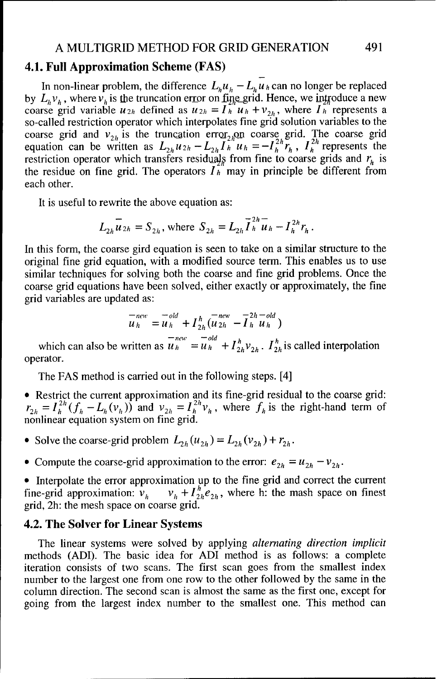#### A MULTIGRID METHOD FOR GRID GENERATION 491

#### 4.1. Full Approximation Scheme **(FAS)**

In non-linear problem, the difference  $L_h u_h - L_h u_h$  can no longer be replaced by  $L_h v_h$ , where  $v_h$  is the truncation error on fine grid. Hence, we introduce a new coarse grid variable  $u_{2h}$  defined as  $u_{2h} = I_h u_h + v_{2h}$ , where  $I_h$  represents a so-called restriction operator which interpolates fine grid solution variables to the coarse grid and  $v_{2h}$  is the truncation error<sub>2h</sub>on coarse grid. The coarse grid equation can be written as  $L_{2h}u_{2h}-L_{2h}l_{h}u_{h}=-l_{h}^{2n}r_{h}$ ,  $I_{h}^{2n}$  represents the restriction operator which transfers residuals from fine to coarse grids and  $r<sub>h</sub>$  is the residue on fine grid. The operators  $\overline{I}_h^{2n}$  may in principle be different from each other.

It is useful to rewrite the above equation as:

$$
L_{2h}\overline{u}_{2h} = S_{2h}, \text{ where } S_{2h} = L_{2h}\overline{I}_{h}^{2h}\overline{u}_{h} - I_{h}^{2h}r_{h}.
$$

In this form, the coarse gird equation is seen to take on a similar structure to the original fine grid equation, with a modified source term. This enables us to use similar techniques for solving both the coarse and fine grid problems. Once the coarse grid equations have been solved, either exactly or approximately, the fine grid variables are updated as:

$$
\overline{u}_h^{new} = \overline{u}_h^{old} + I_{2h}^h(\overline{u}_{2h}^{new} - \overline{I}_h^{2h} - \overline{u}_h^{old})
$$

which can also be written as  $\overline{u}_h^{new} = \overline{u}_h^{old} + I_{2h}^{h}v_{2h}$ .  $I_{2h}^{h}$  is called interpolation operator.

The FAS method is carried out in the following steps. [4]

- \* Restrict the current approximation and its fine-grid residual to the coarse grid:  $r_{2h} = I_h^{2h} (f_h - L_h (v_h))$  and  $v_{2h} = I_h^{2h} v_h$ , where  $f_h$  is the right-hand term of
- Solve the coarse-grid problem  $L_{2h}(u_{2h}) = L_{2h}(v_{2h}) + r_{2h}$ .
- Compute the coarse-grid approximation to the error:  $e_{2h} = u_{2h} v_{2h}$ .

• Interpolate the error approximation up to the fine grid and correct the current fine-grid approximation:  $v_h - v_h + I_{2h}^h e_{2h}$ , where h: the mash space on finest grid, 2h: the mesh space on coarse grid.

#### 4.2. The Solver for Linear Systems

The linear systems were solved by applying *alternating direction implicit* methods (ADI). The basic idea for ADI method is as follows: a complete iteration consists of two scans. The first scan goes from the smallest index number to the largest one from one row to the other followed by the same in the column direction. The second scan is almost the same as the first one, except for going from the largest index number to the smallest one. This method can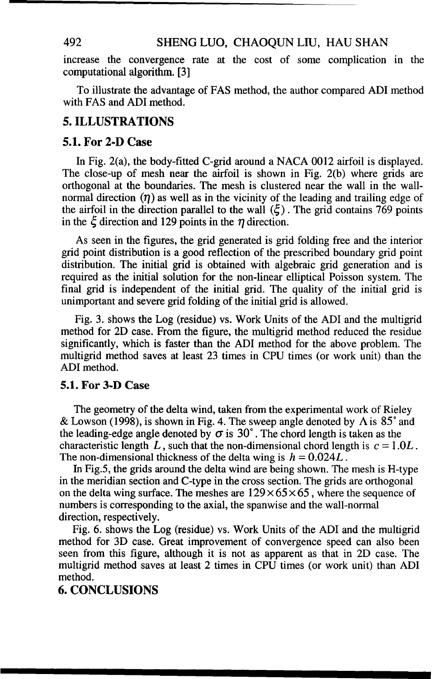#### 492 SHENG LUO, CHAOQUN LIU, HAU SHAN

increase the convergence rate at the cost of some complication in the computational algorithm. [3]

To illustrate the advantage of FAS method, the author compared ADI method with FAS and ADI method.

#### 5. ILLUSTRATIONS

#### **5.1.** For **2-D** Case

In Fig. 2(a), the body-fitted C-grid around a NACA 0012 airfoil is displayed. The close-up of mesh near the airfoil is shown in Fig. 2(b) where grids are orthogonal at the boundaries. The mesh is clustered near the wall in the wallnormal direction  $(\eta)$  as well as in the vicinity of the leading and trailing edge of the airfoil in the direction parallel to the wall  $(\xi)$ . The grid contains 769 points in the  $\xi$  direction and 129 points in the  $\eta$  direction.

As seen in the figures, the grid generated is grid folding free and the interior grid point distribution is a good reflection of the prescribed boundary grid point distribution. The initial grid is obtained with algebraic grid generation and is required as the initial solution for the non-linear elliptical Poisson system. The final grid is independent of the initial grid. The quality of the initial grid is unimportant and severe grid folding of the initial grid is allowed.

Fig. 3. shows the Log (residue) vs. Work Units of the ADI and the multigrid method for 2D case. From the figure, the multigrid method reduced the residue significantly, which is faster than the ADI method for the above problem. The multigrid method saves at least 23 times in CPU times (or work unit) than the ADI method.

#### 5.1. For **3-D** Case

The geometry of the delta wind, taken from the experimental work of Rieley & Lowson (1998), is shown in Fig. 4. The sweep angle denoted by A is **85'** and the leading-edge angle denoted by  $\sigma$  is 30°. The chord length is taken as the characteristic length L, such that the non-dimensional chord length is  $c = 1.0L$ . The non-dimensional thickness of the delta wing is  $h = 0.024L$ .

In Fig.5, the grids around the delta wind are being shown. The mesh is H-type in the meridian section and C-type in the cross section. The grids are orthogonal on the delta wing surface. The meshes are  $129 \times 65 \times 65$ , where the sequence of numbers is corresponding to the axial, the spanwise and the wall-normal direction, respectively.

Fig. 6. shows the Log (residue) vs. Work Units of the ADI and the multigrid method for 3D case. Great improvement of convergence speed can also been seen from this figure, although it is not as apparent as that in 2D case. The multigrid method saves at least 2 times in CPU times (or work unit) than ADI method.

#### 6. CONCLUSIONS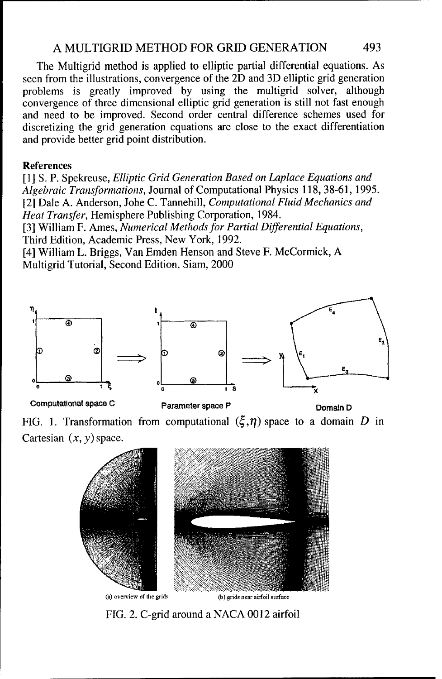#### A MULTIGRID METHOD FOR GRID GENERATION 493

The Multigrid method is applied to elliptic partial differential equations. As seen from the illustrations, convergence of the 2D and 3D elliptic grid generation problems is greatly improved by using the multigrid solver, although convergence of three dimensional elliptic grid generation is still not fast enough and need to be improved. Second order central difference schemes used for discretizing the grid generation equations are close to the exact differentiation and provide better grid point distribution.

#### References

[1] **S.** P. Spekreuse, *Elliptic Grid Generation Based on Laplace Equations and Algebraic Transformations,* Journal of Computational Physics 118, 38-61, 1995. [2] Dale A. Anderson, Johe C. Tannehill, *Computational Fluid Mechanics and Heat Transfer,* Hemisphere Publishing Corporation, 1984.

[3] William F. Ames, *Numerical Methods for Partial Differential Equations,* Third Edition, Academic Press, New York, 1992.

[4] William L. Briggs, Van Emden Henson and Steve F. McCormick, A Multigrid Tutorial, Second Edition, Siam, 2000



Computational space C Parameter space P Domain D

FIG. 1. Transformation from computational  $(\xi, \eta)$  space to a domain D in Cartesian  $(x, y)$  space.



FIG. 2. C-grid around a NACA 0012 airfoil